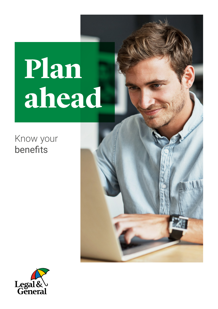# **Plan ahead**

### Know your benefits



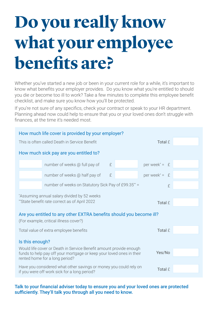## **Do you really know what your employee benefits are?**

Whether you've started a new job or been in your current role for a while, it's important to know what benefits your employer provides. Do you know what you're entitled to should you die or become too ill to work? Take a few minutes to complete this employee benefit checklist, and make sure you know how you'll be protected.

If you're not sure of any specifics, check your contract or speak to your HR department. Planning ahead now could help to ensure that you or your loved ones don't struggle with finances, at the time it's needed most.

| How much life cover is provided by your employer?                                                                                                                                      |                                                          |         |  |                             |  |  |  |  |
|----------------------------------------------------------------------------------------------------------------------------------------------------------------------------------------|----------------------------------------------------------|---------|--|-----------------------------|--|--|--|--|
|                                                                                                                                                                                        | This is often called Death in Service Benefit            | Total £ |  |                             |  |  |  |  |
| How much sick pay are you entitled to?                                                                                                                                                 |                                                          |         |  |                             |  |  |  |  |
|                                                                                                                                                                                        | number of weeks @ full pay of                            | £       |  | per week <sup>*</sup> = $E$ |  |  |  |  |
|                                                                                                                                                                                        | number of weeks @ half pay of                            | £       |  | per week* = $f$             |  |  |  |  |
|                                                                                                                                                                                        | number of weeks on Statutory Sick Pay of £99.35** =<br>£ |         |  |                             |  |  |  |  |
| *Assuming annual salary divided by 52 weeks<br>**State benefit rate correct as of April 2022<br>Total $f$                                                                              |                                                          |         |  |                             |  |  |  |  |
| Are you entitled to any other EXTRA benefits should you become ill?<br>(For example, critical illness cover?)                                                                          |                                                          |         |  |                             |  |  |  |  |
| Total value of extra employee benefits                                                                                                                                                 |                                                          |         |  | Total £                     |  |  |  |  |
| Is this enough?                                                                                                                                                                        |                                                          |         |  |                             |  |  |  |  |
| Would life cover or Death in Service Benefit amount provide enough<br>Yes/No<br>funds to help pay off your mortgage or keep your loved ones in their<br>rented home for a long period? |                                                          |         |  |                             |  |  |  |  |
| Have you considered what other savings or money you could rely on<br>Total $f$<br>if you were off work sick for a long period?                                                         |                                                          |         |  |                             |  |  |  |  |

#### Talk to your financial adviser today to ensure you and your loved ones are protected sufficiently. They'll talk you through all you need to know.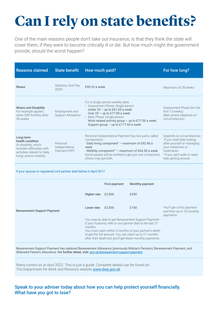### **Can I rely on state benefits?**

One of the main reasons people don't take out insurance, is that they think the state will cover them, if they were to become critically ill or die. But how much might the government provide, should the worst happen?

| <b>Reasons claimed</b>                                                                                                                         | <b>State benefit</b>                      | How much paid?                                                                                                                                                                                                                                                                    | For how long?                                                                                                                                                                |
|------------------------------------------------------------------------------------------------------------------------------------------------|-------------------------------------------|-----------------------------------------------------------------------------------------------------------------------------------------------------------------------------------------------------------------------------------------------------------------------------------|------------------------------------------------------------------------------------------------------------------------------------------------------------------------------|
| <b>Illness</b>                                                                                                                                 | <b>Statutory Sick Pay</b><br>(SSP)        | £99.35 a week                                                                                                                                                                                                                                                                     | Maximum of 28 weeks                                                                                                                                                          |
| <b>Illness and Disability</b><br>For example applies<br>when SSP finishes after<br>28 weeks                                                    | Employment and<br>Support Allowance       | For a Single person weekly rates:<br>• Assessment Phase: Single person<br>Under $25 - up$ to £61.05 a week<br>Over $25 - up$ to £77.00 a week<br>• Main Phase: Single person<br>Work related activity group - up to £77.00 a week<br>Support group - up to £117.60 a week         | Assessment Phase (for the<br>first 13 weeks)<br>Main phase (depends on<br>circumstances)                                                                                     |
| Long-term<br>health condition<br>Or disability, which<br>includes difficulties with<br>activities related to 'daily<br>living' and/or mobility | Personal<br>Independence<br>Payment (PIP) | Personal Independence Payment has two parts called<br>'components'<br>- Daily living component <sup>*</sup> - maximum of £92.40 a<br>week<br>- Mobility component** - maximum of £64.50 a week<br>Some people will be entitled to get just one component,<br>others may get both. | Depends on circumstances:<br>*if you need help looking<br>after yourself or managing<br>your medicines or<br>treatments<br>"if you can't walk or need<br>help getting around |

#### If your spouse or registered civil partner died before 6 April 2017

|                                    |             | First payment                                                                                                                                                                                                                                                                                   | Monthly payment |                                                                     |
|------------------------------------|-------------|-------------------------------------------------------------------------------------------------------------------------------------------------------------------------------------------------------------------------------------------------------------------------------------------------|-----------------|---------------------------------------------------------------------|
|                                    | Higher rate | £3.500                                                                                                                                                                                                                                                                                          | £350            |                                                                     |
| <b>Bereavement Support Payment</b> | Lower rate  | £2.500                                                                                                                                                                                                                                                                                          | £100            | You'll get a first payment<br>and then up to 18 monthly<br>payments |
|                                    | months.     | You may be able to get Bereavement Support Payment<br>if your husband, wife or civil partner died in the last 21<br>You must claim within 3 months of your partner's death<br>to get the full amount. You can claim up to 21 months<br>after their death but you'll get fewer monthly payments. |                 |                                                                     |

Bereavement Support Payment has replaced Bereavement Allowance (previously Widow's Pension), Bereavement Payment, and Widowed Parent's Allowance. For further detail, visit: [gov.uk/bereavement-support-payment](http://gov.uk/bereavement-support-payment)

Rates correct as at April 2022. This is just a guide. Complete details can be found on The Department for Work and Pensions website [www.dwp.gov.uk](http://www.dwp.gov.uk)

#### Speak to your adviser today about how you can help protect yourself financially. What have you got to lose?